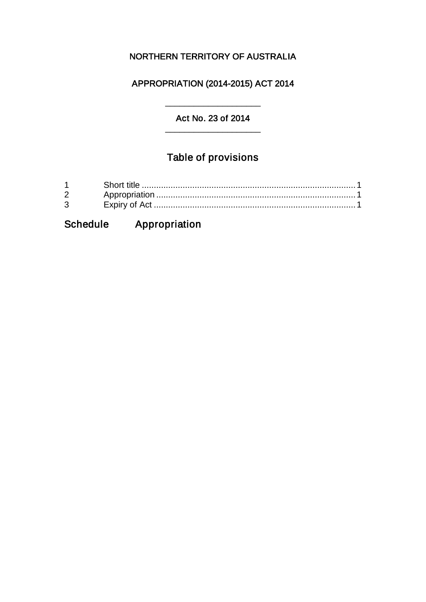### NORTHERN TERRITORY OF AUSTRALIA

#### APPROPRIATION (2014-2015) ACT 2014

#### Act No. 23 of 2014 \_\_\_\_\_\_\_\_\_\_\_\_\_\_\_\_\_\_\_\_

\_\_\_\_\_\_\_\_\_\_\_\_\_\_\_\_\_\_\_\_

# Table of provisions

| $1 \quad \blacksquare$         |  |
|--------------------------------|--|
| $2 \left( \frac{1}{2} \right)$ |  |
| $\mathbf{3}$                   |  |

## Schedule Appropriation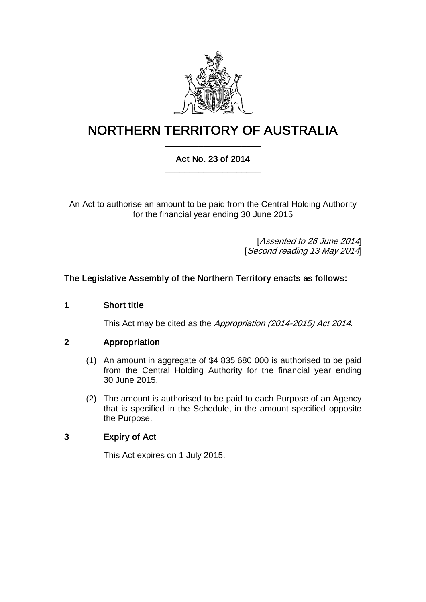

### NORTHERN TERRITORY OF AUSTRALIA \_\_\_\_\_\_\_\_\_\_\_\_\_\_\_\_\_\_\_\_

#### Act No. 23 of 2014 \_\_\_\_\_\_\_\_\_\_\_\_\_\_\_\_\_\_\_\_

An Act to authorise an amount to be paid from the Central Holding Authority for the financial year ending 30 June 2015

> [Assented to 26 June 2014] [Second reading 13 May 2014]

#### The Legislative Assembly of the Northern Territory enacts as follows:

#### 1 Short title

This Act may be cited as the Appropriation (2014-2015) Act 2014.

#### 2 Appropriation

- (1) An amount in aggregate of \$4 835 680 000 is authorised to be paid from the Central Holding Authority for the financial year ending 30 June 2015.
- (2) The amount is authorised to be paid to each Purpose of an Agency that is specified in the Schedule, in the amount specified opposite the Purpose.

#### 3 Expiry of Act

This Act expires on 1 July 2015.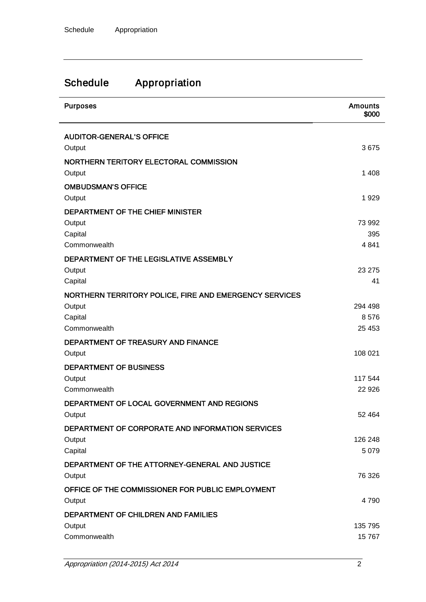# Schedule Appropriation

| <b>Purposes</b>                                        | <b>Amounts</b><br>\$000 |
|--------------------------------------------------------|-------------------------|
| <b>AUDITOR-GENERAL'S OFFICE</b>                        |                         |
| Output                                                 | 3675                    |
| NORTHERN TERITORY ELECTORAL COMMISSION                 |                         |
| Output                                                 | 1 4 0 8                 |
| <b>OMBUDSMAN'S OFFICE</b>                              |                         |
| Output                                                 | 1929                    |
| DEPARTMENT OF THE CHIEF MINISTER                       |                         |
| Output                                                 | 73 992                  |
| Capital                                                | 395                     |
| Commonwealth                                           | 4841                    |
| DEPARTMENT OF THE LEGISLATIVE ASSEMBLY                 | 23 275                  |
| Output<br>Capital                                      | 41                      |
| NORTHERN TERRITORY POLICE, FIRE AND EMERGENCY SERVICES |                         |
| Output                                                 | 294 498                 |
| Capital                                                | 8576                    |
| Commonwealth                                           | 25 4 53                 |
| DEPARTMENT OF TREASURY AND FINANCE                     |                         |
| Output                                                 | 108 021                 |
| <b>DEPARTMENT OF BUSINESS</b>                          |                         |
| Output                                                 | 117 544                 |
| Commonwealth                                           | 22 9 26                 |
| DEPARTMENT OF LOCAL GOVERNMENT AND REGIONS             |                         |
| Output                                                 | 52 464                  |
| DEPARTMENT OF CORPORATE AND INFORMATION SERVICES       |                         |
| Output                                                 | 126 248                 |
| Capital                                                | 5 0 7 9                 |
| DEPARTMENT OF THE ATTORNEY-GENERAL AND JUSTICE         |                         |
| Output                                                 | 76 326                  |
| OFFICE OF THE COMMISSIONER FOR PUBLIC EMPLOYMENT       | 4790                    |
| Output                                                 |                         |
| DEPARTMENT OF CHILDREN AND FAMILIES<br>Output          | 135 795                 |
| Commonwealth                                           | 15767                   |
|                                                        |                         |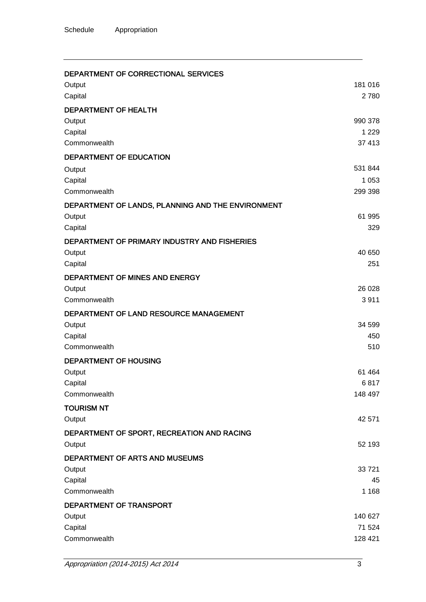#### DEPARTMENT OF CORRECTIONAL SERVICES

| Output                                            | 181 016 |
|---------------------------------------------------|---------|
| Capital                                           | 2780    |
| DEPARTMENT OF HEALTH                              |         |
| Output                                            | 990 378 |
| Capital                                           | 1 2 2 9 |
| Commonwealth                                      | 37 413  |
| DEPARTMENT OF EDUCATION                           |         |
| Output                                            | 531 844 |
| Capital                                           | 1 0 5 3 |
| Commonwealth                                      | 299 398 |
| DEPARTMENT OF LANDS, PLANNING AND THE ENVIRONMENT |         |
| Output                                            | 61 995  |
| Capital                                           | 329     |
| DEPARTMENT OF PRIMARY INDUSTRY AND FISHERIES      |         |
| Output                                            | 40 650  |
| Capital                                           | 251     |
| DEPARTMENT OF MINES AND ENERGY                    |         |
| Output                                            | 26 0 28 |
| Commonwealth                                      | 3911    |
| DEPARTMENT OF LAND RESOURCE MANAGEMENT            |         |
| Output                                            | 34 599  |
| Capital                                           | 450     |
| Commonwealth                                      | 510     |
| <b>DEPARTMENT OF HOUSING</b>                      |         |
| Output                                            | 61 4 64 |
| Capital                                           | 6817    |
| Commonwealth                                      | 148 497 |
| <b>TOURISM NT</b>                                 |         |
| Output                                            | 42 571  |
| DEPARTMENT OF SPORT, RECREATION AND RACING        |         |
| Output                                            | 52 193  |
| DEPARTMENT OF ARTS AND MUSEUMS                    |         |
| Output                                            | 33721   |
| Capital                                           | 45      |
| Commonwealth                                      | 1 1 6 8 |
| DEPARTMENT OF TRANSPORT                           |         |
| Output                                            | 140 627 |
| Capital                                           | 71 524  |
| Commonwealth                                      | 128 421 |